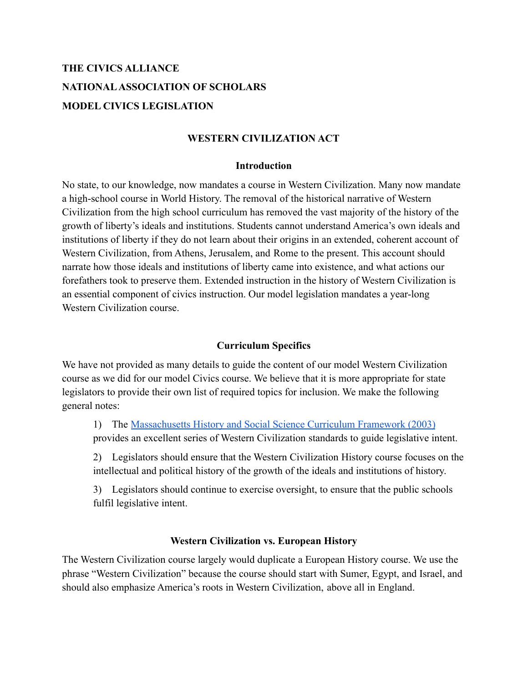# **THE CIVICS ALLIANCE NATIONALASSOCIATION OF SCHOLARS MODEL CIVICS LEGISLATION**

### **WESTERN CIVILIZATION ACT**

### **Introduction**

No state, to our knowledge, now mandates a course in Western Civilization. Many now mandate a high-school course in World History. The removal of the historical narrative of Western Civilization from the high school curriculum has removed the vast majority of the history of the growth of liberty's ideals and institutions. Students cannot understand America's own ideals and institutions of liberty if they do not learn about their origins in an extended, coherent account of Western Civilization, from Athens, Jerusalem, and Rome to the present. This account should narrate how those ideals and institutions of liberty came into existence, and what actions our forefathers took to preserve them. Extended instruction in the history of Western Civilization is an essential component of civics instruction. Our model legislation mandates a year-long Western Civilization course.

### **Curriculum Specifics**

We have not provided as many details to guide the content of our model Western Civilization course as we did for our model Civics course. We believe that it is more appropriate for state legislators to provide their own list of required topics for inclusion. We make the following general notes:

1) The [Massachusetts History and Social Science](https://www.nas.org/storage/app/media/New%20Documents/2003-08.pdf) Curriculum Framework (2003) provides an excellent series of Western Civilization standards to guide legislative intent.

2) Legislators should ensure that the Western Civilization History course focuses on the intellectual and political history of the growth of the ideals and institutions of history.

3) Legislators should continue to exercise oversight, to ensure that the public schools fulfil legislative intent.

### **Western Civilization vs. European History**

The Western Civilization course largely would duplicate a European History course. We use the phrase "Western Civilization" because the course should start with Sumer, Egypt, and Israel, and should also emphasize America's roots in Western Civilization, above all in England.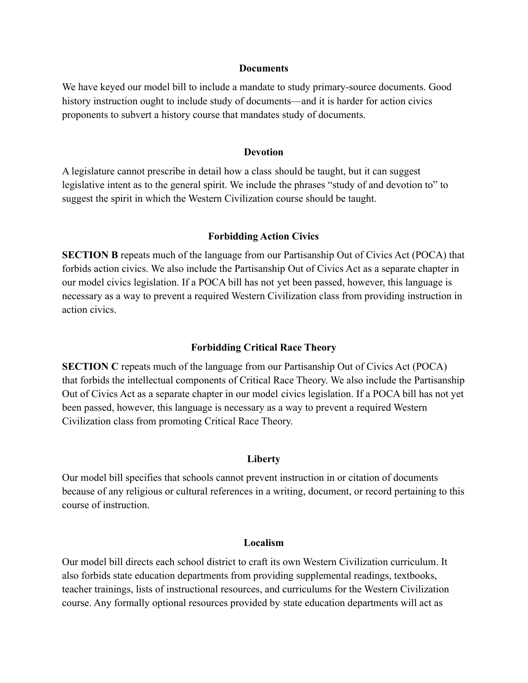#### **Documents**

We have keyed our model bill to include a mandate to study primary-source documents. Good history instruction ought to include study of documents—and it is harder for action civics proponents to subvert a history course that mandates study of documents.

#### **Devotion**

A legislature cannot prescribe in detail how a class should be taught, but it can suggest legislative intent as to the general spirit. We include the phrases "study of and devotion to" to suggest the spirit in which the Western Civilization course should be taught.

#### **Forbidding Action Civics**

**SECTION B** repeats much of the language from our Partisanship Out of Civics Act (POCA) that forbids action civics. We also include the Partisanship Out of Civics Act as a separate chapter in our model civics legislation. If a POCA bill has not yet been passed, however, this language is necessary as a way to prevent a required Western Civilization class from providing instruction in action civics.

#### **Forbidding Critical Race Theory**

**SECTION C** repeats much of the language from our Partisanship Out of Civics Act (POCA) that forbids the intellectual components of Critical Race Theory. We also include the Partisanship Out of Civics Act as a separate chapter in our model civics legislation. If a POCA bill has not yet been passed, however, this language is necessary as a way to prevent a required Western Civilization class from promoting Critical Race Theory.

#### **Liberty**

Our model bill specifies that schools cannot prevent instruction in or citation of documents because of any religious or cultural references in a writing, document, or record pertaining to this course of instruction.

#### **Localism**

Our model bill directs each school district to craft its own Western Civilization curriculum. It also forbids state education departments from providing supplemental readings, textbooks, teacher trainings, lists of instructional resources, and curriculums for the Western Civilization course. Any formally optional resources provided by state education departments will act as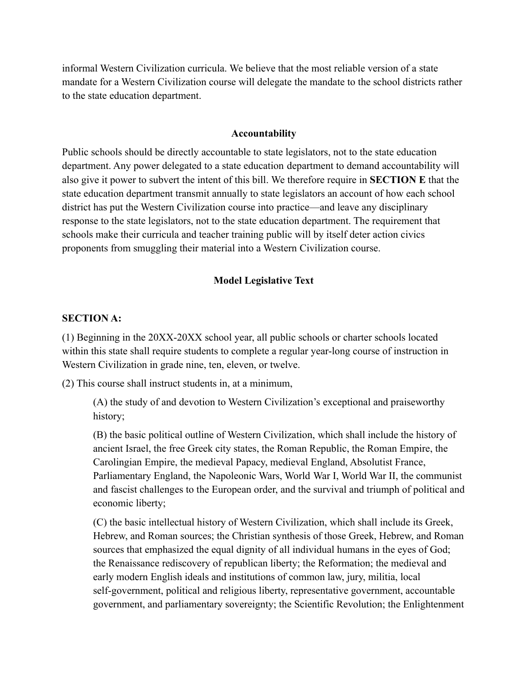informal Western Civilization curricula. We believe that the most reliable version of a state mandate for a Western Civilization course will delegate the mandate to the school districts rather to the state education department.

#### **Accountability**

Public schools should be directly accountable to state legislators, not to the state education department. Any power delegated to a state education department to demand accountability will also give it power to subvert the intent of this bill. We therefore require in **SECTION E** that the state education department transmit annually to state legislators an account of how each school district has put the Western Civilization course into practice—and leave any disciplinary response to the state legislators, not to the state education department. The requirement that schools make their curricula and teacher training public will by itself deter action civics proponents from smuggling their material into a Western Civilization course.

#### **Model Legislative Text**

### **SECTION A:**

(1) Beginning in the 20XX-20XX school year, all public schools or charter schools located within this state shall require students to complete a regular year-long course of instruction in Western Civilization in grade nine, ten, eleven, or twelve.

(2) This course shall instruct students in, at a minimum,

(A) the study of and devotion to Western Civilization's exceptional and praiseworthy history;

(B) the basic political outline of Western Civilization, which shall include the history of ancient Israel, the free Greek city states, the Roman Republic, the Roman Empire, the Carolingian Empire, the medieval Papacy, medieval England, Absolutist France, Parliamentary England, the Napoleonic Wars, World War I, World War II, the communist and fascist challenges to the European order, and the survival and triumph of political and economic liberty;

(C) the basic intellectual history of Western Civilization, which shall include its Greek, Hebrew, and Roman sources; the Christian synthesis of those Greek, Hebrew, and Roman sources that emphasized the equal dignity of all individual humans in the eyes of God; the Renaissance rediscovery of republican liberty; the Reformation; the medieval and early modern English ideals and institutions of common law, jury, militia, local self-government, political and religious liberty, representative government, accountable government, and parliamentary sovereignty; the Scientific Revolution; the Enlightenment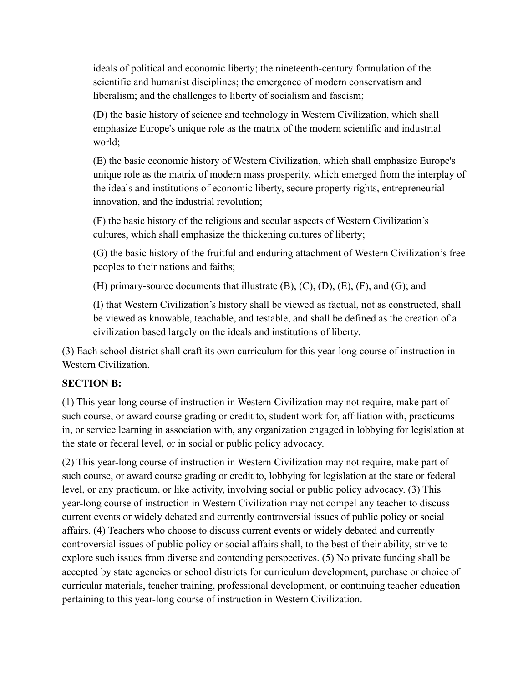ideals of political and economic liberty; the nineteenth-century formulation of the scientific and humanist disciplines; the emergence of modern conservatism and liberalism; and the challenges to liberty of socialism and fascism;

(D) the basic history of science and technology in Western Civilization, which shall emphasize Europe's unique role as the matrix of the modern scientific and industrial world;

(E) the basic economic history of Western Civilization, which shall emphasize Europe's unique role as the matrix of modern mass prosperity, which emerged from the interplay of the ideals and institutions of economic liberty, secure property rights, entrepreneurial innovation, and the industrial revolution;

(F) the basic history of the religious and secular aspects of Western Civilization's cultures, which shall emphasize the thickening cultures of liberty;

(G) the basic history of the fruitful and enduring attachment of Western Civilization's free peoples to their nations and faiths;

(H) primary-source documents that illustrate (B), (C), (D), (E), (F), and (G); and

(I) that Western Civilization's history shall be viewed as factual, not as constructed, shall be viewed as knowable, teachable, and testable, and shall be defined as the creation of a civilization based largely on the ideals and institutions of liberty.

(3) Each school district shall craft its own curriculum for this year-long course of instruction in Western Civilization.

### **SECTION B:**

(1) This year-long course of instruction in Western Civilization may not require, make part of such course, or award course grading or credit to, student work for, affiliation with, practicums in, or service learning in association with, any organization engaged in lobbying for legislation at the state or federal level, or in social or public policy advocacy.

(2) This year-long course of instruction in Western Civilization may not require, make part of such course, or award course grading or credit to, lobbying for legislation at the state or federal level, or any practicum, or like activity, involving social or public policy advocacy. (3) This year-long course of instruction in Western Civilization may not compel any teacher to discuss current events or widely debated and currently controversial issues of public policy or social affairs. (4) Teachers who choose to discuss current events or widely debated and currently controversial issues of public policy or social affairs shall, to the best of their ability, strive to explore such issues from diverse and contending perspectives. (5) No private funding shall be accepted by state agencies or school districts for curriculum development, purchase or choice of curricular materials, teacher training, professional development, or continuing teacher education pertaining to this year-long course of instruction in Western Civilization.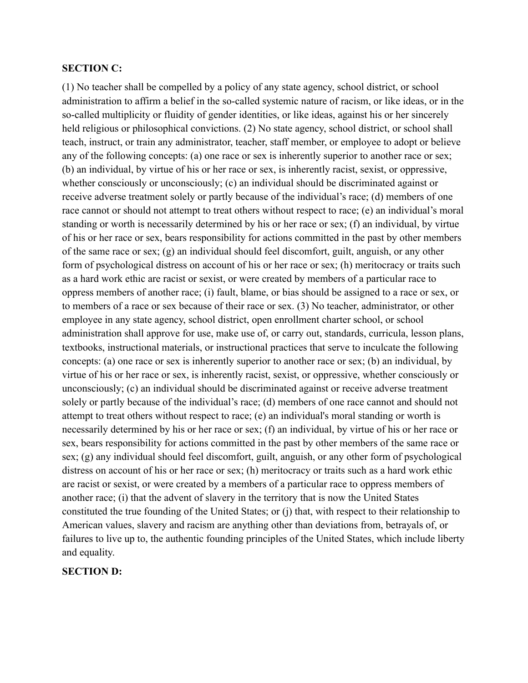#### **SECTION C:**

(1) No teacher shall be compelled by a policy of any state agency, school district, or school administration to affirm a belief in the so-called systemic nature of racism, or like ideas, or in the so-called multiplicity or fluidity of gender identities, or like ideas, against his or her sincerely held religious or philosophical convictions. (2) No state agency, school district, or school shall teach, instruct, or train any administrator, teacher, staff member, or employee to adopt or believe any of the following concepts: (a) one race or sex is inherently superior to another race or sex; (b) an individual, by virtue of his or her race or sex, is inherently racist, sexist, or oppressive, whether consciously or unconsciously; (c) an individual should be discriminated against or receive adverse treatment solely or partly because of the individual's race; (d) members of one race cannot or should not attempt to treat others without respect to race; (e) an individual's moral standing or worth is necessarily determined by his or her race or sex; (f) an individual, by virtue of his or her race or sex, bears responsibility for actions committed in the past by other members of the same race or sex; (g) an individual should feel discomfort, guilt, anguish, or any other form of psychological distress on account of his or her race or sex; (h) meritocracy or traits such as a hard work ethic are racist or sexist, or were created by members of a particular race to oppress members of another race; (i) fault, blame, or bias should be assigned to a race or sex, or to members of a race or sex because of their race or sex. (3) No teacher, administrator, or other employee in any state agency, school district, open enrollment charter school, or school administration shall approve for use, make use of, or carry out, standards, curricula, lesson plans, textbooks, instructional materials, or instructional practices that serve to inculcate the following concepts: (a) one race or sex is inherently superior to another race or sex; (b) an individual, by virtue of his or her race or sex, is inherently racist, sexist, or oppressive, whether consciously or unconsciously; (c) an individual should be discriminated against or receive adverse treatment solely or partly because of the individual's race; (d) members of one race cannot and should not attempt to treat others without respect to race; (e) an individual's moral standing or worth is necessarily determined by his or her race or sex; (f) an individual, by virtue of his or her race or sex, bears responsibility for actions committed in the past by other members of the same race or sex; (g) any individual should feel discomfort, guilt, anguish, or any other form of psychological distress on account of his or her race or sex; (h) meritocracy or traits such as a hard work ethic are racist or sexist, or were created by a members of a particular race to oppress members of another race; (i) that the advent of slavery in the territory that is now the United States constituted the true founding of the United States; or (j) that, with respect to their relationship to American values, slavery and racism are anything other than deviations from, betrayals of, or failures to live up to, the authentic founding principles of the United States, which include liberty and equality.

#### **SECTION D:**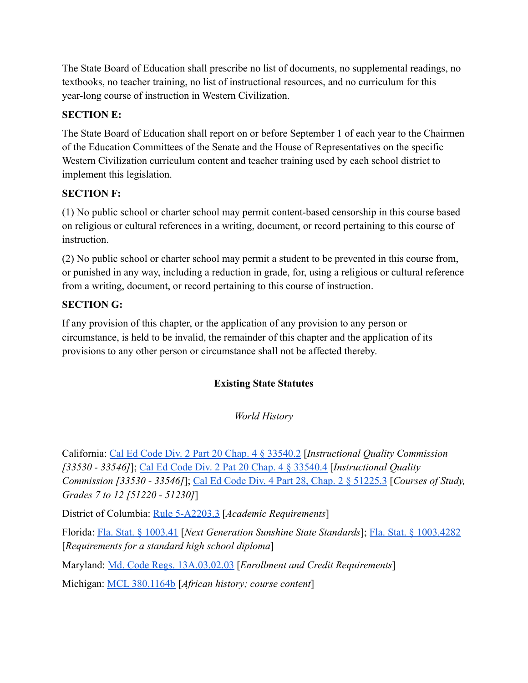The State Board of Education shall prescribe no list of documents, no supplemental readings, no textbooks, no teacher training, no list of instructional resources, and no curriculum for this year-long course of instruction in Western Civilization.

## **SECTION E:**

The State Board of Education shall report on or before September 1 of each year to the Chairmen of the Education Committees of the Senate and the House of Representatives on the specific Western Civilization curriculum content and teacher training used by each school district to implement this legislation.

# **SECTION F:**

(1) No public school or charter school may permit content-based censorship in this course based on religious or cultural references in a writing, document, or record pertaining to this course of instruction.

(2) No public school or charter school may permit a student to be prevented in this course from, or punished in any way, including a reduction in grade, for, using a religious or cultural reference from a writing, document, or record pertaining to this course of instruction.

# **SECTION G:**

If any provision of this chapter, or the application of any provision to any person or circumstance, is held to be invalid, the remainder of this chapter and the application of its provisions to any other person or circumstance shall not be affected thereby.

# **Existing State Statutes**

# *World History*

California: [Cal Ed Code Div. 2 Part 20 Chap. 4 § 33540.2](https://leginfo.legislature.ca.gov/faces/codes_displaySection.xhtml?lawCode=EDC§ionNum=33540.2.) [*Instructional Quality Commission [33530 - 33546]*]; [Cal Ed Code Div. 2 Pat 20 Chap.](https://leginfo.legislature.ca.gov/faces/codes_displaySection.xhtml?lawCode=EDC§ionNum=33540.4.) 4 § 33540.4 [*Instructional Quality Commission [33530 - 33546]*]; [Cal Ed Code Div. 4 Part](https://leginfo.legislature.ca.gov/faces/codes_displaySection.xhtml?lawCode=EDC§ionNum=51225.3.) 28, Chap. 2 § 51225.3 [*Courses of Study, Grades 7 to 12 [51220 - 51230]*]

District of Columbia: [Rule 5-A2203.3](http://dcrules.elaws.us/dcmr/5-a2203) [*Academic Requirements*]

Florida: [Fla. Stat. § 1003.41](http://www.leg.state.fl.us/Statutes/index.cfm?App_mode=Display_Statute&URL=1000-1099/1003/Sections/1003.41.html) [*Next Generation Sunshine State Standards*]; [Fla. Stat. § 1003.4282](http://www.leg.state.fl.us/Statutes/index.cfm?App_mode=Display_Statute&Search_String=&URL=1000-1099/1003/Sections/1003.4282.html) [*Requirements for a standard high school diploma*]

Maryland: [Md. Code Regs. 13A.03.02.03](https://casetext.com/regulation/maryland-administrative-code/title-13a-state-board-of-education/subtitle-03-general-instructional-programs/chapter-13a0302-graduation-requirements-for-public-high-schools-in-maryland/section-13a030203-enrollment-and-credit-requirements) [*Enrollment and Credit Requirements*]

Michigan: [MCL 380.1164b](http://www.legislature.mi.gov/(S(wq4pqgmxgng5tgk2ti4aj4xh))/mileg.aspx?page=getObject&objectName=mcl-380-1164b) [*African history; course content*]